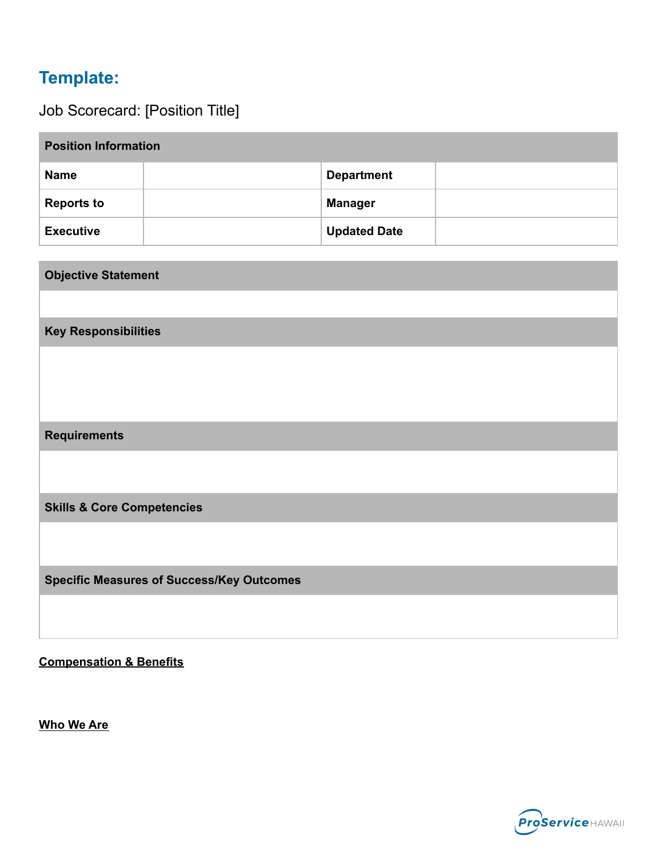# **Template:**

Job Scorecard: [Position Title]

| <b>Position Information</b> |  |                     |  |  |  |
|-----------------------------|--|---------------------|--|--|--|
| <b>Name</b>                 |  | <b>Department</b>   |  |  |  |
| <b>Reports to</b>           |  | <b>Manager</b>      |  |  |  |
| <b>Executive</b>            |  | <b>Updated Date</b> |  |  |  |

| <b>Objective Statement</b>                       |  |  |  |  |  |
|--------------------------------------------------|--|--|--|--|--|
|                                                  |  |  |  |  |  |
| <b>Key Responsibilities</b>                      |  |  |  |  |  |
|                                                  |  |  |  |  |  |
|                                                  |  |  |  |  |  |
|                                                  |  |  |  |  |  |
| <b>Requirements</b>                              |  |  |  |  |  |
|                                                  |  |  |  |  |  |
|                                                  |  |  |  |  |  |
| <b>Skills &amp; Core Competencies</b>            |  |  |  |  |  |
|                                                  |  |  |  |  |  |
|                                                  |  |  |  |  |  |
| <b>Specific Measures of Success/Key Outcomes</b> |  |  |  |  |  |
|                                                  |  |  |  |  |  |
|                                                  |  |  |  |  |  |

**Compensation & Benefits**

**Who We Are**

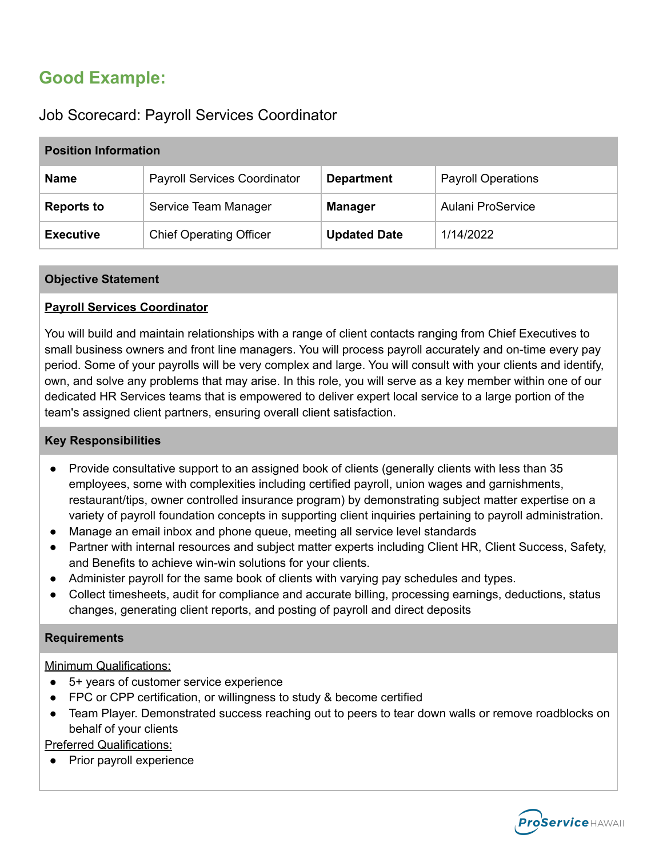# **Good Example:**

# Job Scorecard: Payroll Services Coordinator

| <b>Position Information</b> |                                     |                     |                           |  |  |
|-----------------------------|-------------------------------------|---------------------|---------------------------|--|--|
| <b>Name</b>                 | <b>Payroll Services Coordinator</b> | <b>Department</b>   | <b>Payroll Operations</b> |  |  |
| <b>Reports to</b>           | Service Team Manager                | <b>Manager</b>      | Aulani ProService         |  |  |
| <b>Executive</b>            | <b>Chief Operating Officer</b>      | <b>Updated Date</b> | 1/14/2022                 |  |  |

### **Objective Statement**

## **Payroll Services Coordinator**

You will build and maintain relationships with a range of client contacts ranging from Chief Executives to small business owners and front line managers. You will process payroll accurately and on-time every pay period. Some of your payrolls will be very complex and large. You will consult with your clients and identify, own, and solve any problems that may arise. In this role, you will serve as a key member within one of our dedicated HR Services teams that is empowered to deliver expert local service to a large portion of the team's assigned client partners, ensuring overall client satisfaction.

### **Key Responsibilities**

- Provide consultative support to an assigned book of clients (generally clients with less than 35 employees, some with complexities including certified payroll, union wages and garnishments, restaurant/tips, owner controlled insurance program) by demonstrating subject matter expertise on a variety of payroll foundation concepts in supporting client inquiries pertaining to payroll administration.
- Manage an email inbox and phone queue, meeting all service level standards
- Partner with internal resources and subject matter experts including Client HR, Client Success, Safety, and Benefits to achieve win-win solutions for your clients.
- Administer payroll for the same book of clients with varying pay schedules and types.
- Collect timesheets, audit for compliance and accurate billing, processing earnings, deductions, status changes, generating client reports, and posting of payroll and direct deposits

### **Requirements**

Minimum Qualifications:

- 5+ years of customer service experience
- FPC or CPP certification, or willingness to study & become certified
- Team Player. Demonstrated success reaching out to peers to tear down walls or remove roadblocks on behalf of your clients

# Preferred Qualifications:

Prior payroll experience

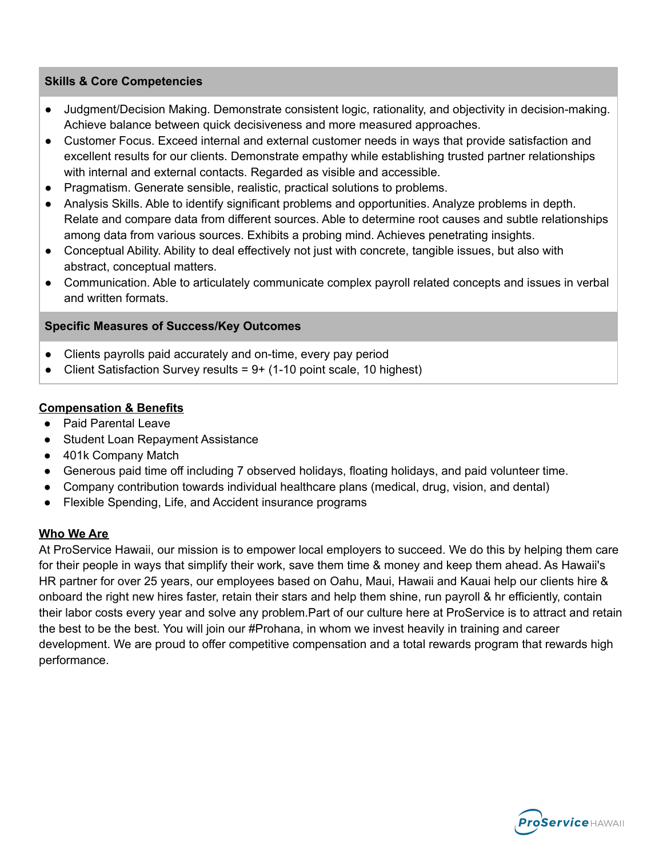### **Skills & Core Competencies**

- Judgment/Decision Making. Demonstrate consistent logic, rationality, and objectivity in decision-making. Achieve balance between quick decisiveness and more measured approaches.
- Customer Focus. Exceed internal and external customer needs in ways that provide satisfaction and excellent results for our clients. Demonstrate empathy while establishing trusted partner relationships with internal and external contacts. Regarded as visible and accessible.
- Pragmatism. Generate sensible, realistic, practical solutions to problems.
- Analysis Skills. Able to identify significant problems and opportunities. Analyze problems in depth. Relate and compare data from different sources. Able to determine root causes and subtle relationships among data from various sources. Exhibits a probing mind. Achieves penetrating insights.
- Conceptual Ability. Ability to deal effectively not just with concrete, tangible issues, but also with abstract, conceptual matters.
- Communication. Able to articulately communicate complex payroll related concepts and issues in verbal and written formats.

### **Specific Measures of Success/Key Outcomes**

- Clients payrolls paid accurately and on-time, every pay period
- Client Satisfaction Survey results =  $9+$  (1-10 point scale, 10 highest)

### **Compensation & Benefits**

- Paid Parental Leave
- Student Loan Repayment Assistance
- 401k Company Match
- Generous paid time off including 7 observed holidays, floating holidays, and paid volunteer time.
- Company contribution towards individual healthcare plans (medical, drug, vision, and dental)
- Flexible Spending, Life, and Accident insurance programs

### **Who We Are**

At ProService Hawaii, our mission is to empower local employers to succeed. We do this by helping them care for their people in ways that simplify their work, save them time & money and keep them ahead. As Hawaii's HR partner for over 25 years, our employees based on Oahu, Maui, Hawaii and Kauai help our clients hire & onboard the right new hires faster, retain their stars and help them shine, run payroll & hr efficiently, contain their labor costs every year and solve any problem.Part of our culture here at ProService is to attract and retain the best to be the best. You will join our #Prohana, in whom we invest heavily in training and career development. We are proud to offer competitive compensation and a total rewards program that rewards high performance.

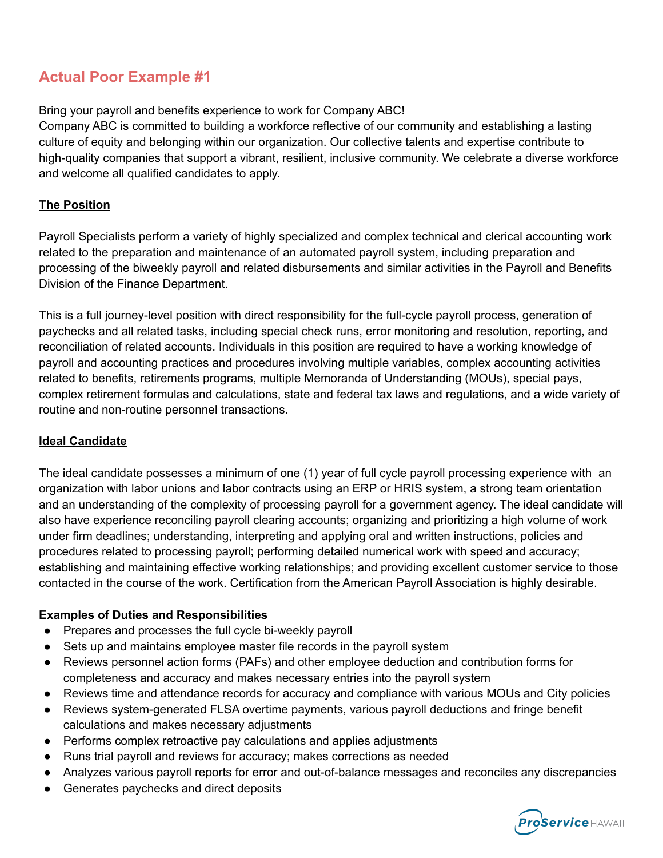# **Actual Poor Example #1**

# Bring your payroll and benefits experience to work for Company ABC!

Company ABC is committed to building a workforce reflective of our community and establishing a lasting culture of equity and belonging within our organization. Our collective talents and expertise contribute to high-quality companies that support a vibrant, resilient, inclusive community. We celebrate a diverse workforce and welcome all qualified candidates to apply.

# **The Position**

Payroll Specialists perform a variety of highly specialized and complex technical and clerical accounting work related to the preparation and maintenance of an automated payroll system, including preparation and processing of the biweekly payroll and related disbursements and similar activities in the Payroll and Benefits Division of the Finance Department.

This is a full journey-level position with direct responsibility for the full-cycle payroll process, generation of paychecks and all related tasks, including special check runs, error monitoring and resolution, reporting, and reconciliation of related accounts. Individuals in this position are required to have a working knowledge of payroll and accounting practices and procedures involving multiple variables, complex accounting activities related to benefits, retirements programs, multiple Memoranda of Understanding (MOUs), special pays, complex retirement formulas and calculations, state and federal tax laws and regulations, and a wide variety of routine and non-routine personnel transactions.

## **Ideal Candidate**

The ideal candidate possesses a minimum of one (1) year of full cycle payroll processing experience with an organization with labor unions and labor contracts using an ERP or HRIS system, a strong team orientation and an understanding of the complexity of processing payroll for a government agency. The ideal candidate will also have experience reconciling payroll clearing accounts; organizing and prioritizing a high volume of work under firm deadlines; understanding, interpreting and applying oral and written instructions, policies and procedures related to processing payroll; performing detailed numerical work with speed and accuracy; establishing and maintaining effective working relationships; and providing excellent customer service to those contacted in the course of the work. Certification from the American Payroll Association is highly desirable.

## **Examples of Duties and Responsibilities**

- Prepares and processes the full cycle bi-weekly payroll
- Sets up and maintains employee master file records in the payroll system
- Reviews personnel action forms (PAFs) and other employee deduction and contribution forms for completeness and accuracy and makes necessary entries into the payroll system
- Reviews time and attendance records for accuracy and compliance with various MOUs and City policies
- Reviews system-generated FLSA overtime payments, various payroll deductions and fringe benefit calculations and makes necessary adjustments
- Performs complex retroactive pay calculations and applies adjustments
- Runs trial payroll and reviews for accuracy; makes corrections as needed
- Analyzes various payroll reports for error and out-of-balance messages and reconciles any discrepancies
- Generates paychecks and direct deposits

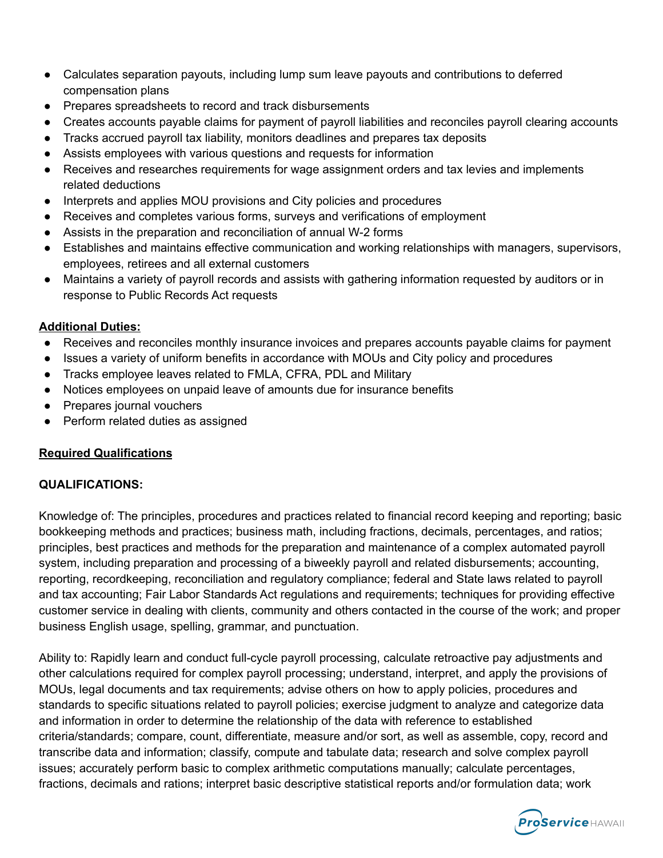- Calculates separation payouts, including lump sum leave payouts and contributions to deferred compensation plans
- Prepares spreadsheets to record and track disbursements
- Creates accounts payable claims for payment of payroll liabilities and reconciles payroll clearing accounts
- Tracks accrued payroll tax liability, monitors deadlines and prepares tax deposits
- Assists employees with various questions and requests for information
- Receives and researches requirements for wage assignment orders and tax levies and implements related deductions
- Interprets and applies MOU provisions and City policies and procedures
- Receives and completes various forms, surveys and verifications of employment
- Assists in the preparation and reconciliation of annual W-2 forms
- Establishes and maintains effective communication and working relationships with managers, supervisors, employees, retirees and all external customers
- Maintains a variety of payroll records and assists with gathering information requested by auditors or in response to Public Records Act requests

## **Additional Duties:**

- Receives and reconciles monthly insurance invoices and prepares accounts payable claims for payment
- Issues a variety of uniform benefits in accordance with MOUs and City policy and procedures
- Tracks employee leaves related to FMLA, CFRA, PDL and Military
- Notices employees on unpaid leave of amounts due for insurance benefits
- Prepares journal vouchers
- Perform related duties as assigned

# **Required Qualifications**

## **QUALIFICATIONS:**

Knowledge of: The principles, procedures and practices related to financial record keeping and reporting; basic bookkeeping methods and practices; business math, including fractions, decimals, percentages, and ratios; principles, best practices and methods for the preparation and maintenance of a complex automated payroll system, including preparation and processing of a biweekly payroll and related disbursements; accounting, reporting, recordkeeping, reconciliation and regulatory compliance; federal and State laws related to payroll and tax accounting; Fair Labor Standards Act regulations and requirements; techniques for providing effective customer service in dealing with clients, community and others contacted in the course of the work; and proper business English usage, spelling, grammar, and punctuation.

Ability to: Rapidly learn and conduct full-cycle payroll processing, calculate retroactive pay adjustments and other calculations required for complex payroll processing; understand, interpret, and apply the provisions of MOUs, legal documents and tax requirements; advise others on how to apply policies, procedures and standards to specific situations related to payroll policies; exercise judgment to analyze and categorize data and information in order to determine the relationship of the data with reference to established criteria/standards; compare, count, differentiate, measure and/or sort, as well as assemble, copy, record and transcribe data and information; classify, compute and tabulate data; research and solve complex payroll issues; accurately perform basic to complex arithmetic computations manually; calculate percentages, fractions, decimals and rations; interpret basic descriptive statistical reports and/or formulation data; work

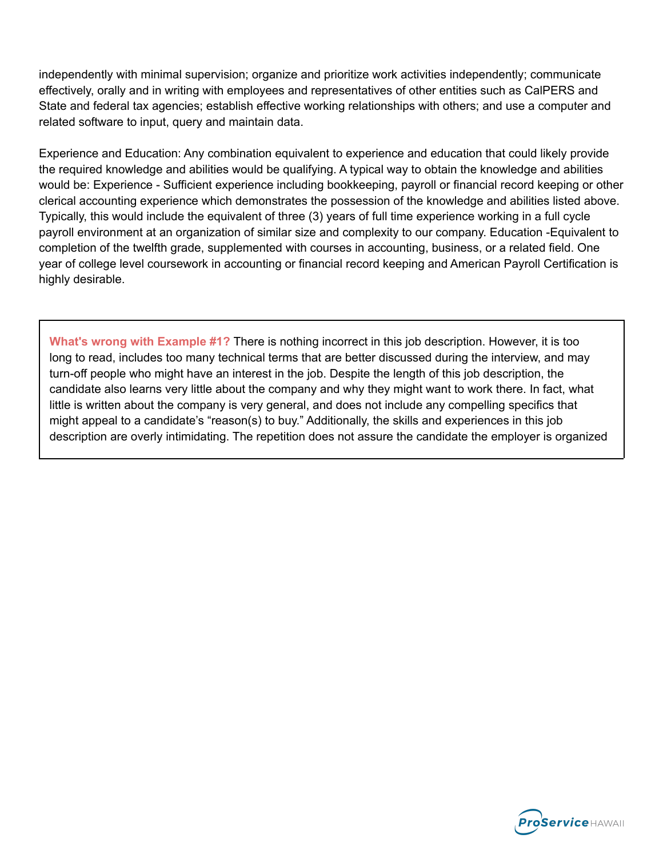independently with minimal supervision; organize and prioritize work activities independently; communicate effectively, orally and in writing with employees and representatives of other entities such as CalPERS and State and federal tax agencies; establish effective working relationships with others; and use a computer and related software to input, query and maintain data.

Experience and Education: Any combination equivalent to experience and education that could likely provide the required knowledge and abilities would be qualifying. A typical way to obtain the knowledge and abilities would be: Experience - Sufficient experience including bookkeeping, payroll or financial record keeping or other clerical accounting experience which demonstrates the possession of the knowledge and abilities listed above. Typically, this would include the equivalent of three (3) years of full time experience working in a full cycle payroll environment at an organization of similar size and complexity to our company. Education -Equivalent to completion of the twelfth grade, supplemented with courses in accounting, business, or a related field. One year of college level coursework in accounting or financial record keeping and American Payroll Certification is highly desirable.

**What's wrong with Example #1?** There is nothing incorrect in this job description. However, it is too long to read, includes too many technical terms that are better discussed during the interview, and may turn-off people who might have an interest in the job. Despite the length of this job description, the candidate also learns very little about the company and why they might want to work there. In fact, what little is written about the company is very general, and does not include any compelling specifics that might appeal to a candidate's "reason(s) to buy." Additionally, the skills and experiences in this job description are overly intimidating. The repetition does not assure the candidate the employer is organized